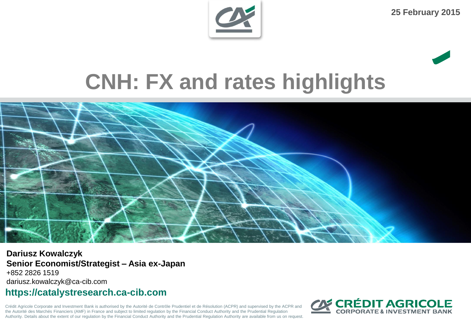

**25 February 2015**

# **CNH: FX and rates highlights**



**Dariusz Kowalczyk Senior Economist/Strategist – Asia ex-Japan** +852 2826 1519 dariusz.kowalczyk@ca-cib.com

#### **https://catalystresearch.ca-cib.com**

Crédit Agricole Corporate and Investment Bank is authorised by the Autorité de Contrôle Prudentiel et de Résolution (ACPR) and supervised by the ACPR and the Autorité des Marchés Financiers (AMF) in France and subject to limited regulation by the Financial Conduct Authority and the Prudential Regulation Authority. Details about the extent of our regulation by the Financial Conduct Authority and the Prudential Regulation Authority are available from us on request.

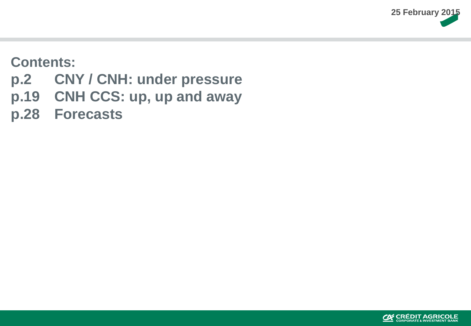

#### **Contents:**

- **p.2 CNY / CNH: under pressure**
- **p.19 CNH CCS: up, up and away**
- **p.28 Forecasts**

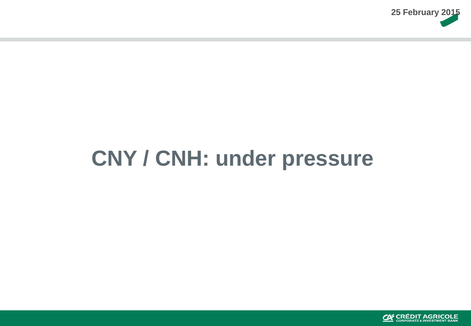

# **CNY / CNH: under pressure**

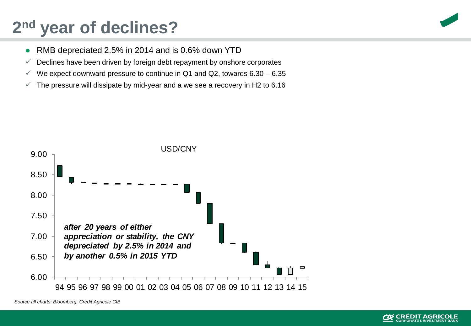## **2 nd year of declines?**

- RMB depreciated 2.5% in 2014 and is 0.6% down YTD
- $\checkmark$  Declines have been driven by foreign debt repayment by onshore corporates
- $\checkmark$  We expect downward pressure to continue in Q1 and Q2, towards 6.30 6.35
- $\checkmark$  The pressure will dissipate by mid-year and a we see a recovery in H2 to 6.16



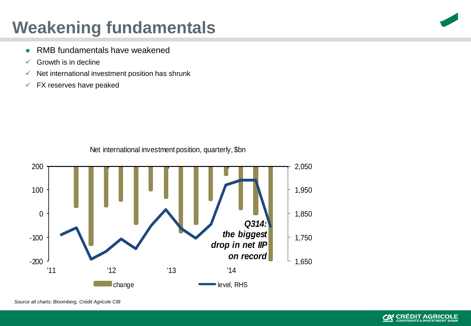## **Weakening fundamentals**

- RMB fundamentals have weakened
- $\checkmark$  Growth is in decline
- $\checkmark$  Net international investment position has shrunk
- $\checkmark$  FX reserves have peaked



Net international investment position, quarterly, \$bn





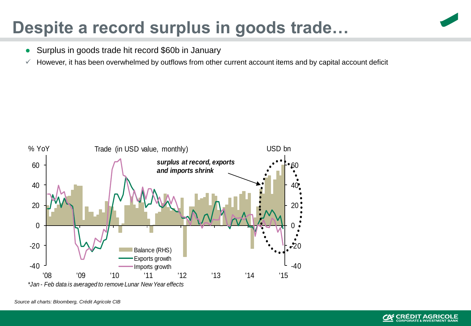#### **Despite a record surplus in goods trade…**

- Surplus in goods trade hit record \$60b in January
- $\checkmark$  However, it has been overwhelmed by outflows from other current account items and by capital account deficit



*\*Jan - Feb data is averaged to remove Lunar New Year effects*

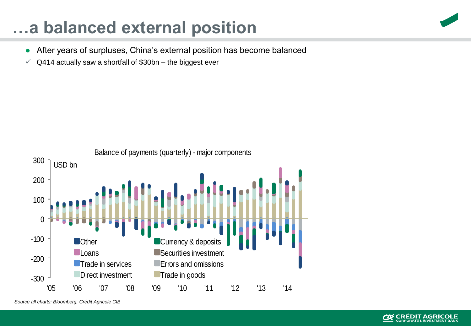#### **…a balanced external position**

- After years of surpluses, China's external position has become balanced
- $\sqrt{}$  Q414 actually saw a shortfall of \$30bn the biggest ever





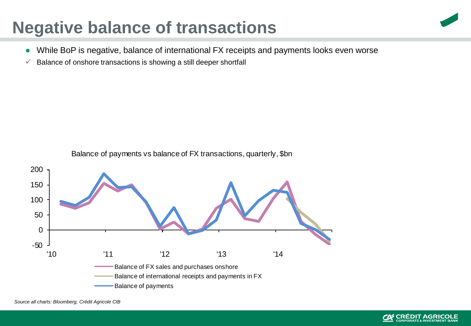#### **Negative balance of transactions**

- While BoP is negative, balance of international FX receipts and payments looks even worse
- $\checkmark$  Balance of onshore transactions is showing a still deeper shortfall





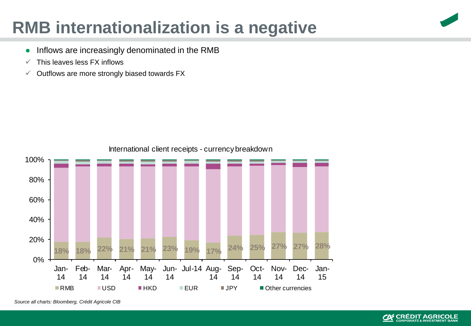#### **RMB internationalization is a negative**



- Inflows are increasingly denominated in the RMB
- $\checkmark$  This leaves less FX inflows
- $\checkmark$  Outflows are more strongly biased towards FX



International client receipts - currency breakdown

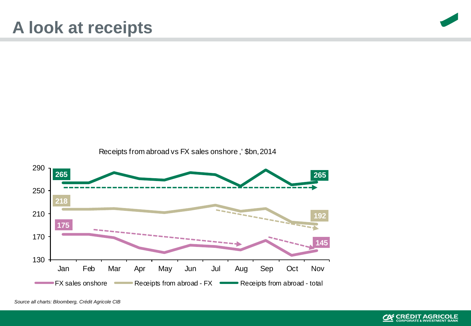

Receipts from abroad vs FX sales onshore ,' \$bn, 2014



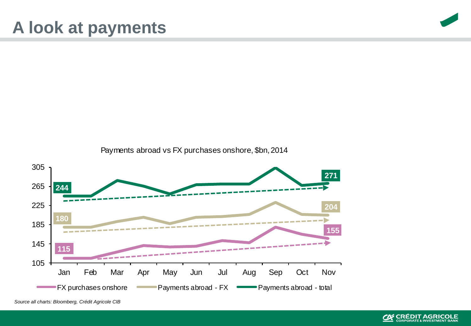

Payments abroad vs FX purchases onshore, \$bn, 2014



*Source all charts: Bloomberg, Crédit Agricole CIB*

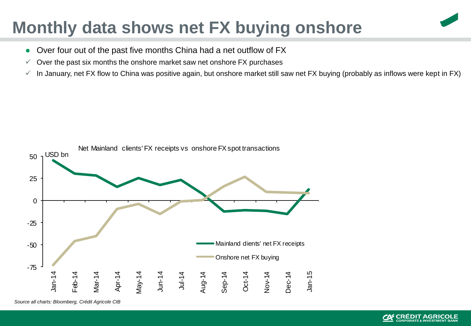#### **Monthly data shows net FX buying onshore**

- Over four out of the past five months China had a net outflow of FX
- $\checkmark$  Over the past six months the onshore market saw net onshore FX purchases
- $\checkmark$  In January, net FX flow to China was positive again, but onshore market still saw net FX buying (probably as inflows were kept in FX)

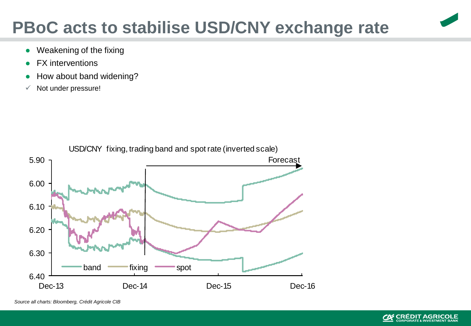#### **PBoC acts to stabilise USD/CNY exchange rate**

- Weakening of the fixing
- **FX** interventions
- How about band widening?
- $\checkmark$  Not under pressure!



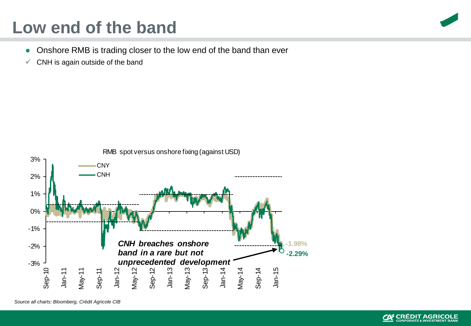#### **Low end of the band**

- Onshore RMB is trading closer to the low end of the band than ever
- $\checkmark$  CNH is again outside of the band



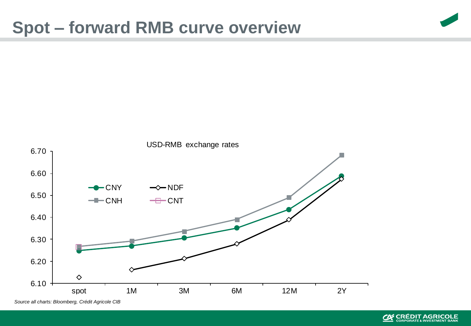#### **Spot – forward RMB curve overview**



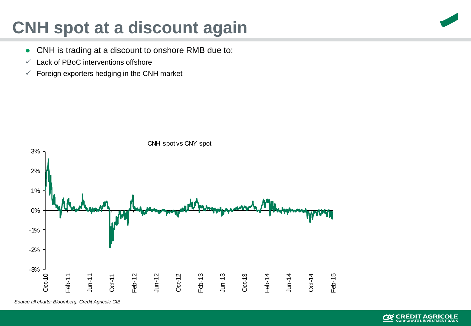#### **CNH spot at a discount again**

- CNH is trading at a discount to onshore RMB due to:
- $\checkmark$  Lack of PBoC interventions offshore
- $\checkmark$  Foreign exporters hedging in the CNH market



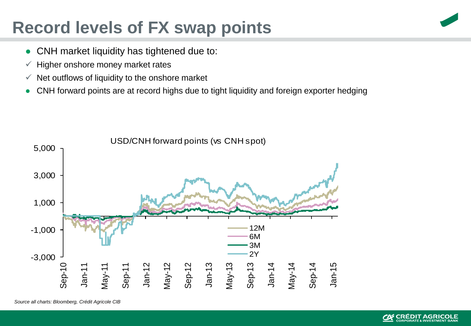#### **Record levels of FX swap points**



- CNH market liquidity has tightened due to:
- $\checkmark$  Higher onshore money market rates
- $\checkmark$  Net outflows of liquidity to the onshore market
- CNH forward points are at record highs due to tight liquidity and foreign exporter hedging

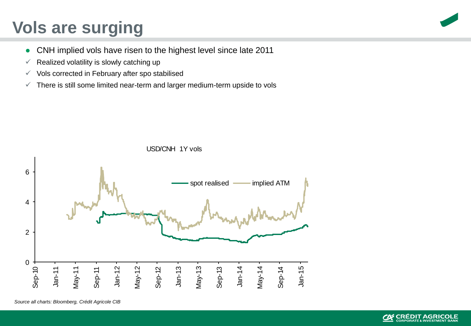### **Vols are surging**

- CNH implied vols have risen to the highest level since late 2011
- $\checkmark$  Realized volatility is slowly catching up
- $\checkmark$  Vols corrected in February after spo stabilised
- $\checkmark$  There is still some limited near-term and larger medium-term upside to vols



USD/CNH 1Y vols

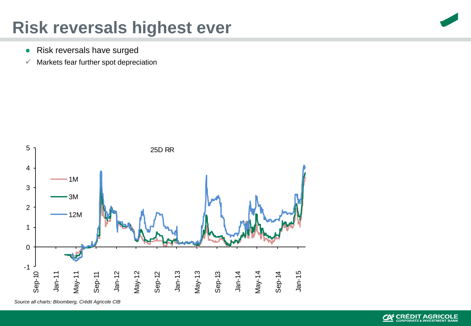#### **Risk reversals highest ever**

- Risk reversals have surged
- $\checkmark$  Markets fear further spot depreciation



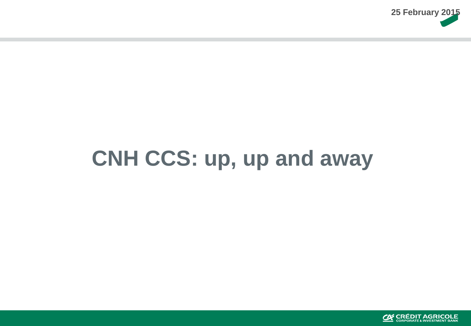

# **CNH CCS: up, up and away**

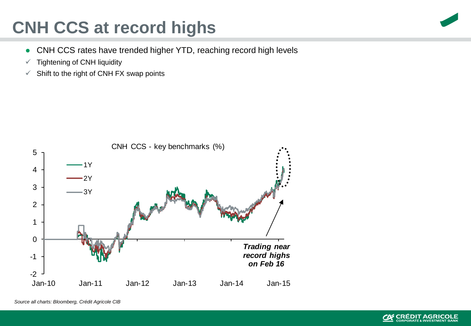## **CNH CCS at record highs**

- CNH CCS rates have trended higher YTD, reaching record high levels
- $\checkmark$  Tightening of CNH liquidity
- $\checkmark$  Shift to the right of CNH FX swap points





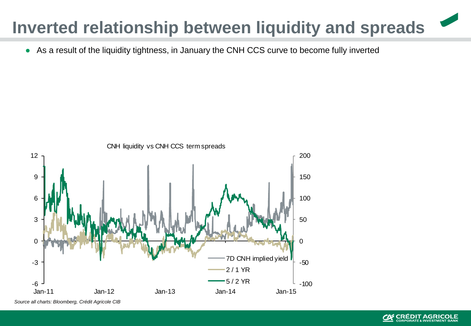### **Inverted relationship between liquidity and spreads**

• As a result of the liquidity tightness, in January the CNH CCS curve to become fully inverted



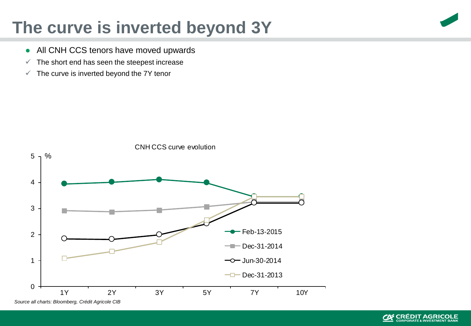#### **The curve is inverted beyond 3Y**

- All CNH CCS tenors have moved upwards
- $\checkmark$  The short end has seen the steepest increase
- $\checkmark$  The curve is inverted beyond the 7Y tenor



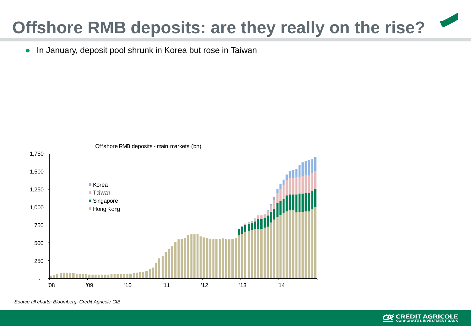## **Offshore RMB deposits: are they really on the rise?**

● In January, deposit pool shrunk in Korea but rose in Taiwan



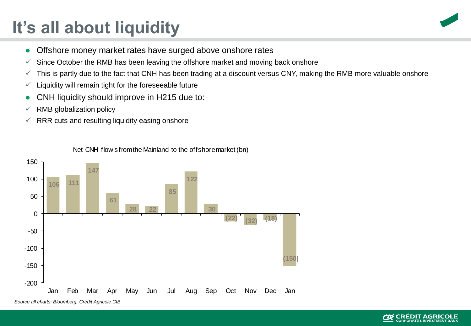## **It's all about liquidity**



- Offshore money market rates have surged above onshore rates
- $\checkmark$  Since October the RMB has been leaving the offshore market and moving back onshore
- $\checkmark$  This is partly due to the fact that CNH has been trading at a discount versus CNY, making the RMB more valuable onshore
- $\checkmark$  Liquidity will remain tight for the foreseeable future
- CNH liquidity should improve in H215 due to:
- $\times$  RMB globalization policy
- $\sqrt{R}$  RRR cuts and resulting liquidity easing onshore



Net CNH flow s from the Mainland to the offshore market (bn)

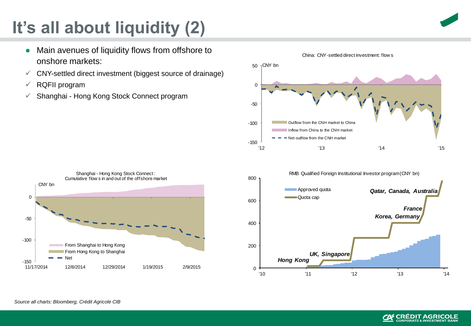# **It's all about liquidity (2)**

- Main avenues of liquidity flows from offshore to onshore markets:
- $\checkmark$  CNY-settled direct investment (biggest source of drainage)
- $\sqrt{ }$  RQFII program
- $\checkmark$  Shanghai Hong Kong Stock Connect program







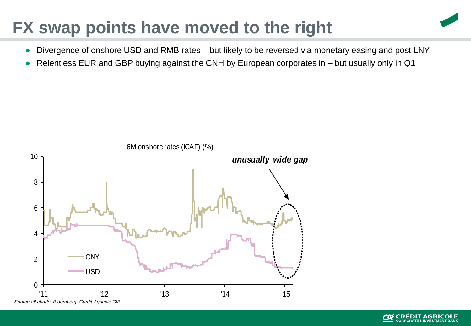#### **FX swap points have moved to the right**

- Divergence of onshore USD and RMB rates but likely to be reversed via monetary easing and post LNY
- Relentless EUR and GBP buying against the CNH by European corporates in but usually only in Q1



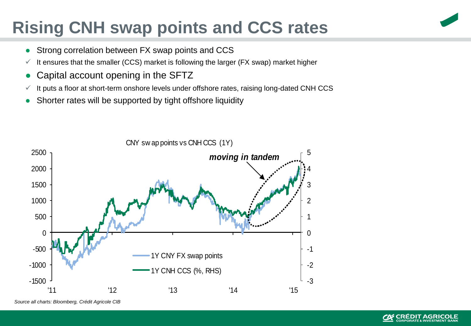## **Rising CNH swap points and CCS rates**

- Strong correlation between FX swap points and CCS
- $\checkmark$  It ensures that the smaller (CCS) market is following the larger (FX swap) market higher
- Capital account opening in the SFTZ
- $\checkmark$  It puts a floor at short-term onshore levels under offshore rates, raising long-dated CNH CCS
- Shorter rates will be supported by tight offshore liquidity



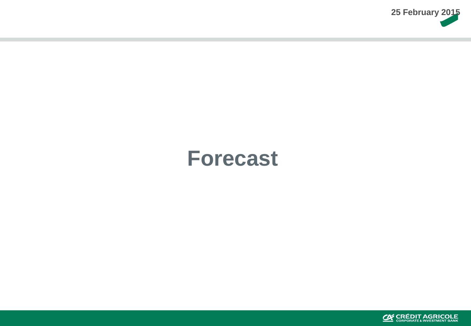

# **Forecast**

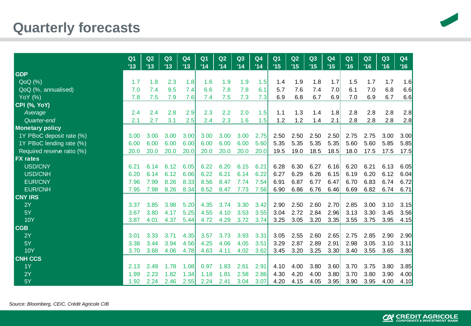#### **Quarterly forecasts**



|                            | Q <sub>1</sub><br>13 | Q2<br>113 | Q3<br>'13 | Q <sub>4</sub><br>'13 | Q <sub>1</sub><br>'14 | Q2<br>'14 | Q3<br>'14 | Q <sub>4</sub><br>'14 | Q <sub>1</sub><br>'15 | Q2<br>'15 | Q3<br>'15 | Q <sub>4</sub><br>'15 | Q <sub>1</sub><br>'16 | Q2<br>'16 | Q3<br>'16 | Q <sub>4</sub><br>'16 |
|----------------------------|----------------------|-----------|-----------|-----------------------|-----------------------|-----------|-----------|-----------------------|-----------------------|-----------|-----------|-----------------------|-----------------------|-----------|-----------|-----------------------|
| <b>GDP</b>                 |                      |           |           |                       |                       |           |           |                       |                       |           |           |                       |                       |           |           |                       |
| QoQ(%)                     | 1.7                  | 1.8       | 2.3       | 1.8                   | 1.6                   | 1.9       | 1.9       | 1.5                   | 1.4                   | 1.9       | 1.8       | 1.7                   | 1.5                   | 1.7       | 1.7       | 1.6                   |
| QoQ (%, annualised)        | 7.0                  | 7.4       | 9.5       | 7.4                   | 6.6                   | 7.8       | 7.8       | 6.1                   | 5.7                   | 7.6       | 7.4       | 7.0                   | 6.1                   | 7.0       | 6.8       | 6.6                   |
| <b>YoY</b> (%)             | 7.8                  | 7.5       | 7.9       | 7.6                   | 7.4                   | 7.5       | 7.3       | 7.3                   | 6.9                   | 6.8       | 6.7       | 6.9                   | 7.0                   | 6.9       | 6.7       | 6.6                   |
| <b>CPI (%, YoY)</b>        |                      |           |           |                       |                       |           |           |                       |                       |           |           |                       |                       |           |           |                       |
| Average                    | 2.4                  | 2.4       | 2.8       | 2.9                   | 2.3                   | 2.2       | 2.0       | 1.5                   | 1.1                   | 1.3       | 1.4       | 1.8                   | 2.8                   | 2.8       | 2.8       | 2.8                   |
| Quarter-end                | 2.1                  | 2.7       | 3.1       | 2.5                   | 2.4                   | 2.3       | 1.6       | 1.5                   | 1.2                   | 1.2       | 1.4       | 2.1                   | 2.8                   | 2.8       | 2.8       | 2.8                   |
| <b>Monetary policy</b>     |                      |           |           |                       |                       |           |           |                       |                       |           |           |                       |                       |           |           |                       |
| 1Y PBoC deposit rate (%)   | 3.00                 | 3.00      | 3.00      | 3.00                  | 3.00                  | 3.00      | 3.00      | 2.75                  | 2.50                  | 2.50      | 2.50      | 2.50                  | 2.75                  | 2.75      | 3.00      | 3.00                  |
| 1Y PBoC lending rate (%)   | 6.00                 | 6.00      | 6.00      | 6.00                  | 6.00                  | 6.00      | 6.00      | 5.60                  | 5.35                  | 5.35      | 5.35      | 5.35                  | 5.60                  | 5.60      | 5.85      | 5.85                  |
| Required reserve ratio (%) | 20.0                 | 20.0      | 20.0      | 20.0                  | 20.0                  | 20.0      | 20.0      | 20.0                  | 19.5                  | 19.0      | 18.5      | 18.5                  | 18.0                  | 17.5      | 17.5      | 17.5                  |
| <b>FX</b> rates            |                      |           |           |                       |                       |           |           |                       |                       |           |           |                       |                       |           |           |                       |
| USD/CNY                    | 6.21                 | 6.14      | 6.12      | 6.05                  | 6.22                  | 6.20      | 6.15      | 6.21                  | 6.28                  | 6.30      | 6.27      | 6.16                  | 6.20                  | 6.21      | 6.13      | 6.05                  |
| USD/CNH                    | 6.20                 | 6.14      | 6.12      | 6.06                  | 6.22                  | 6.21      | 6.14      | 6.22                  | 6.27                  | 6.29      | 6.26      | 6.15                  | 6.19                  | 6.20      | 6.12      | 6.04                  |
| <b>EUR/CNY</b>             | 7.96                 | 7.99      | 8.26      | 8.33                  | 8.56                  | 8.47      | 7.74      | 7.54                  | 6.91                  | 6.87      | 6.77      | 6.47                  | 6.70                  | 6.83      | 6.74      | 6.72                  |
| <b>EUR/CNH</b>             | 7.95                 | 7.98      | 8.26      | 8.34                  | 8.52                  | 8.47      | 7.73      | 7.56                  | 6.90                  | 6.86      | 6.76      | 6.46                  | 6.69                  | 6.82      | 6.74      | 6.71                  |
| <b>CNY IRS</b>             |                      |           |           |                       |                       |           |           |                       |                       |           |           |                       |                       |           |           |                       |
| 2Y                         | 3.37                 | 3.85      | 3.98      | 5.20                  | 4.35                  | 3.74      | 3.30      | 3.42                  | 2.90                  | 2.50      | 2.60      | 2.70                  | 2.85                  | 3.00      | 3.10      | 3.15                  |
| 5Y                         | 3.67                 | 3.80      | 4.17      | 5.25                  | 4.55                  | 4.10      | 3.53      | 3.55                  | 3.04                  | 2.72      | 2.84      | 2.96                  | 3.13                  | 3.30      | 3.45      | 3.56                  |
| <b>10Y</b>                 | 3.87                 | 4.01      | 4.37      | 5.44                  | 4.72                  | 4.29      | 3.72      | 3.74                  | 3.25                  | 3.05      | 3.20      | 3.35                  | 3.55                  | 3.75      | 3.95      | 4.15                  |
| <b>CGB</b>                 |                      |           |           |                       |                       |           |           |                       |                       |           |           |                       |                       |           |           |                       |
| 2Y                         | 3.01                 | 3.33      | 3.71      | 4.35                  | 3.57                  | 3.73      | 3.93      | 3.31                  | 3.05                  | 2.55      | 2.60      | 2.65                  | 2.75                  | 2.85      | 2.90      | 2.90                  |
| 5Y                         | 3.38                 | 3.44      | 3.94      | 4.56                  | 4.25                  | 4.06      | 4.05      | 3.51                  | 3.29                  | 2.87      | 2.89      | 2.91                  | 2.98                  | 3.05      | 3.10      | 3.11                  |
| <b>10Y</b>                 | 3.70                 | 3.68      | 4.06      | 4.78                  | 4.63                  | 4.11      | 4.02      | 3.62                  | 3.45                  | 3.20      | 3.25      | 3.30                  | 3.40                  | 3.55      | 3.65      | 3.80                  |
| <b>CNH CCS</b>             |                      |           |           |                       |                       |           |           |                       |                       |           |           |                       |                       |           |           |                       |
| 1Y                         | 2.13                 | 2.49      | 1.78      | 1.08                  | 0.97                  | 1.83      | 2.61      | 2.91                  | 4.10                  | 4.00      | 3.80      | 3.60                  | 3.70                  | 3.75      | 3.80      | 3.85                  |
| 2Y                         | 1.99                 | 2.23      | 1.82      | 1.34                  | 1.18                  | 1.81      | 2.58      | 2.86                  | 4.30                  | 4.20      | 4.00      | 3.80                  | 3.70                  | 3.80      | 3.90      | 4.00                  |
| 5Y                         | 1.92                 | 2.24      | 2.46      | 2.55                  | 2.24                  | 2.41      | 3.04      | 3.07                  | 4.20                  | 4.15      | 4.05      | 3.95                  | 3.90                  | 3.95      | 4.00      | 4.10                  |

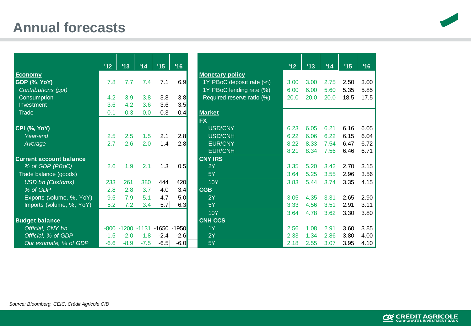#### **Annual forecasts**



|                                | 112    | '13    | '14                     | '15    | '16    |                            | 112  | '13  | '14  | '15  | '16  |
|--------------------------------|--------|--------|-------------------------|--------|--------|----------------------------|------|------|------|------|------|
| Economy                        |        |        |                         |        |        | <b>Monetary policy</b>     |      |      |      |      |      |
| <b>GDP (%, YoY)</b>            | 7.8    | 7.7    | 7.4                     | 7.1    | 6.9    | 1Y PBoC deposit rate (%)   | 3.00 | 3.00 | 2.75 | 2.50 | 3.00 |
| Contributions (ppt)            |        |        |                         |        |        | 1Y PBoC lending rate (%)   | 6.00 | 6.00 | 5.60 | 5.35 | 5.85 |
| Consumption                    | 4.2    | 3.9    | 3.8                     | 3.8    | 3.8    | Required reserve ratio (%) | 20.0 | 20.0 | 20.0 | 18.5 | 17.5 |
| Investment                     | 3.6    | 4.2    | 3.6                     | 3.6    | 3.5    |                            |      |      |      |      |      |
| Trade                          | $-0.1$ | $-0.3$ | 0.0                     | $-0.3$ | $-0.4$ | <b>Market</b>              |      |      |      |      |      |
|                                |        |        |                         |        |        | <b>FX</b>                  |      |      |      |      |      |
| CPI (%, YoY)                   |        |        |                         |        |        | <b>USD/CNY</b>             | 6.23 | 6.05 | 6.21 | 6.16 | 6.05 |
| Year-end                       | 2.5    | 2.5    | 1.5                     | 2.1    | 2.8    | <b>USD/CNH</b>             | 6.22 | 6.06 | 6.22 | 6.15 | 6.04 |
| Average                        | 2.7    | 2.6    | 2.0                     | 1.4    | 2.8    | <b>EUR/CNY</b>             | 8.22 | 8.33 | 7.54 | 6.47 | 6.72 |
|                                |        |        |                         |        |        | <b>EUR/CNH</b>             | 8.21 | 8.34 | 7.56 | 6.46 | 6.71 |
| <b>Current account balance</b> |        |        |                         |        |        | <b>CNY IRS</b>             |      |      |      |      |      |
| % of GDP (PBoC)                | 2.6    | 1.9    | 2.1                     | 1.3    | 0.5    | 2Y                         | 3.35 | 5.20 | 3.42 | 2.70 | 3.15 |
| Trade balance (goods)          |        |        |                         |        |        | 5Y                         | 3.64 | 5.25 | 3.55 | 2.96 | 3.56 |
| <b>USD</b> bn (Customs)        | 233    | 261    | 380                     | 444    | 420    | <b>10Y</b>                 | 3.83 | 5.44 | 3.74 | 3.35 | 4.15 |
| % of GDP                       | 2.8    | 2.8    | 3.7                     | 4.0    | 3.4    | <b>CGB</b>                 |      |      |      |      |      |
| Exports (volume, %, YoY)       | 9.5    | 7.9    | 5.1                     | 4.7    | 5.0    | 2Y                         | 3.05 | 4.35 | 3.31 | 2.65 | 2.90 |
| Imports (volume, %, YoY)       | 5.2    | 7.2    | 3.4                     | 5.7    | 6.3    | 5Y                         | 3.33 | 4.56 | 3.51 | 2.91 | 3.11 |
|                                |        |        |                         |        |        | <b>10Y</b>                 | 3.64 | 4.78 | 3.62 | 3.30 | 3.80 |
| <b>Budget balance</b>          |        |        |                         |        |        | <b>CNH CCS</b>             |      |      |      |      |      |
| Official, CNY bn               | $-800$ |        | -1200 -1131 -1650 -1950 |        |        | 1Y                         | 2.56 | 1.08 | 2.91 | 3.60 | 3.85 |
| Official, % of GDP             | $-1.5$ | $-2.0$ | $-1.8$                  | $-2.4$ | $-2.6$ | 2Y                         | 2.33 | 1.34 | 2.86 | 3.80 | 4.00 |
| Our estimate, % of GDP         | $-6.6$ | $-8.9$ | $-7.5$                  | $-6.5$ | $-6.0$ | 5Y                         | 2.18 | 2.55 | 3.07 | 3.95 | 4.10 |